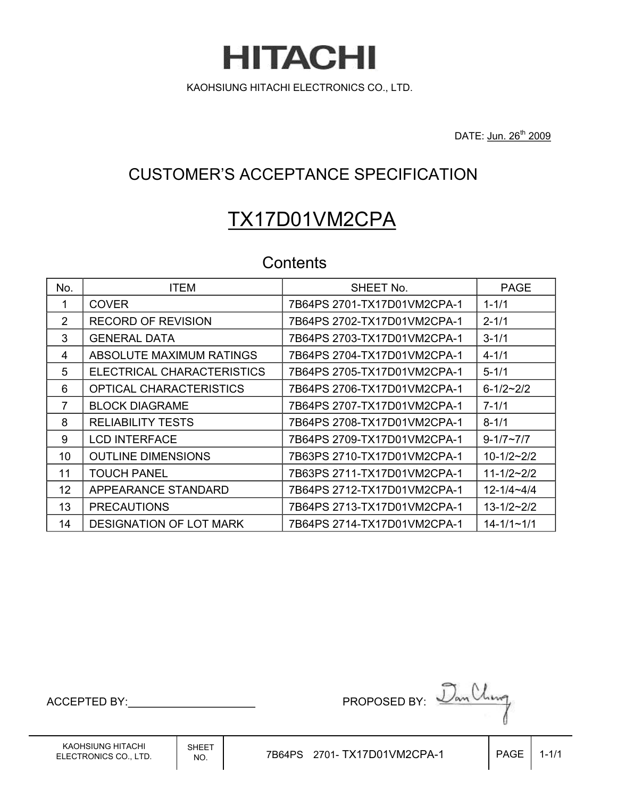**HITACHI** KAOHSIUNG HITACHI ELECTRONICS CO., LTD.

DATE: Jun. 26<sup>th</sup> 2009

# CUSTOMER'S ACCEPTANCE SPECIFICATION

# TX17D01VM2CPA

# **Contents**

| No. | <b>ITEM</b>                    | SHEET No.                   | <b>PAGE</b>         |
|-----|--------------------------------|-----------------------------|---------------------|
| 1   | <b>COVER</b>                   | 7B64PS 2701-TX17D01VM2CPA-1 | $1 - 1/1$           |
| 2   | <b>RECORD OF REVISION</b>      | 7B64PS 2702-TX17D01VM2CPA-1 | $2 - 1/1$           |
| 3   | <b>GENERAL DATA</b>            | 7B64PS 2703-TX17D01VM2CPA-1 | $3 - 1/1$           |
| 4   | ABSOLUTE MAXIMUM RATINGS       | 7B64PS 2704-TX17D01VM2CPA-1 | $4 - 1/1$           |
| 5   | ELECTRICAL CHARACTERISTICS     | 7B64PS 2705-TX17D01VM2CPA-1 | $5 - 1/1$           |
| 6   | <b>OPTICAL CHARACTERISTICS</b> | 7B64PS 2706-TX17D01VM2CPA-1 | $6 - 1/2 - 2/2$     |
| 7   | <b>BLOCK DIAGRAME</b>          | 7B64PS 2707-TX17D01VM2CPA-1 | $7 - 1/1$           |
| 8   | <b>RELIABILITY TESTS</b>       | 7B64PS 2708-TX17D01VM2CPA-1 | $8 - 1/1$           |
| 9   | <b>LCD INTERFACE</b>           | 7B64PS 2709-TX17D01VM2CPA-1 | $9 - 1/7 - 7/7$     |
| 10  | <b>OUTLINE DIMENSIONS</b>      | 7B63PS 2710-TX17D01VM2CPA-1 | $10 - 1/2 - 2/2$    |
| 11  | <b>TOUCH PANEL</b>             | 7B63PS 2711-TX17D01VM2CPA-1 | $11 - 1/2 - 2/2$    |
| 12  | APPEARANCE STANDARD            | 7B64PS 2712-TX17D01VM2CPA-1 | $12 - 1/4 - 4/4$    |
| 13  | <b>PRECAUTIONS</b>             | 7B64PS 2713-TX17D01VM2CPA-1 | $13 - 1/2 \sim 2/2$ |
| 14  | <b>DESIGNATION OF LOT MARK</b> |                             | $14 - 1/1 - 1/1$    |

$$
AGE \mid 1-1/2
$$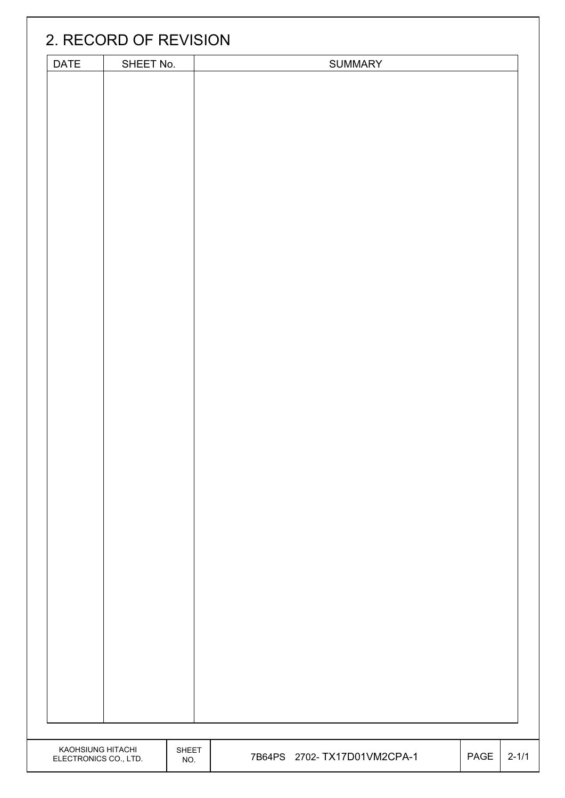|                       | 2. RECORD OF REVISION |       |                              |      |           |
|-----------------------|-----------------------|-------|------------------------------|------|-----------|
| DATE                  | SHEET No.             |       | <b>SUMMARY</b>               |      |           |
|                       |                       |       |                              |      |           |
|                       |                       |       |                              |      |           |
|                       |                       |       |                              |      |           |
|                       |                       |       |                              |      |           |
|                       |                       |       |                              |      |           |
|                       |                       |       |                              |      |           |
|                       |                       |       |                              |      |           |
|                       |                       |       |                              |      |           |
|                       |                       |       |                              |      |           |
|                       |                       |       |                              |      |           |
|                       |                       |       |                              |      |           |
|                       |                       |       |                              |      |           |
|                       |                       |       |                              |      |           |
|                       |                       |       |                              |      |           |
|                       |                       |       |                              |      |           |
|                       |                       |       |                              |      |           |
|                       |                       |       |                              |      |           |
|                       |                       |       |                              |      |           |
|                       |                       |       |                              |      |           |
|                       |                       |       |                              |      |           |
|                       |                       |       |                              |      |           |
|                       |                       |       |                              |      |           |
|                       |                       |       |                              |      |           |
|                       |                       |       |                              |      |           |
|                       |                       |       |                              |      |           |
|                       |                       |       |                              |      |           |
|                       |                       |       |                              |      |           |
|                       |                       |       |                              |      |           |
|                       |                       |       |                              |      |           |
|                       |                       |       |                              |      |           |
|                       |                       |       |                              |      |           |
|                       |                       |       |                              |      |           |
|                       |                       |       |                              |      |           |
|                       |                       |       |                              |      |           |
|                       |                       |       |                              |      |           |
|                       |                       |       |                              |      |           |
|                       |                       |       |                              |      |           |
|                       |                       |       |                              |      |           |
|                       |                       |       |                              |      |           |
|                       |                       |       |                              |      |           |
|                       |                       |       |                              |      |           |
| KAOHSIUNG HITACHI     |                       | SHEET |                              |      |           |
| ELECTRONICS CO., LTD. |                       | NO.   | 7B64PS 2702- TX17D01VM2CPA-1 | PAGE | $2 - 1/1$ |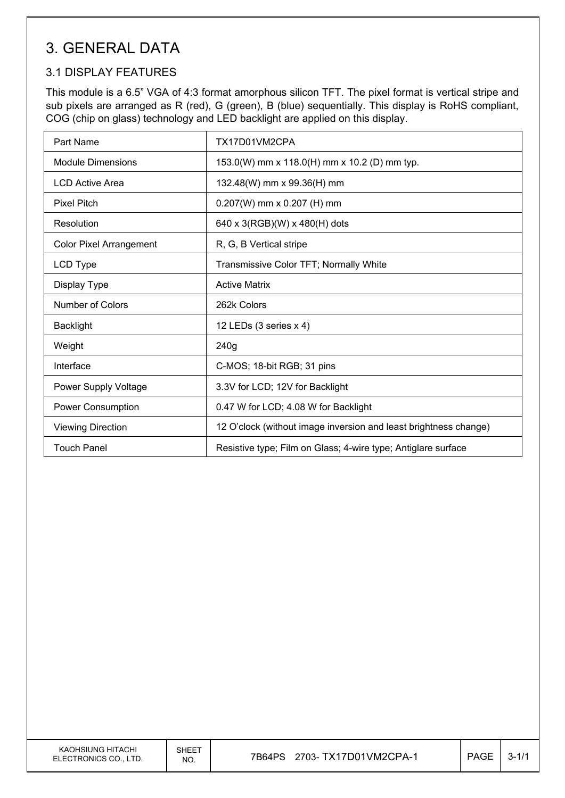# 3. GENERAL DATA

## 3.1 DISPLAY FEATURES

This module is a 6.5" VGA of 4:3 format amorphous silicon TFT. The pixel format is vertical stripe and sub pixels are arranged as R (red), G (green), B (blue) sequentially. This display is RoHS compliant, COG (chip on glass) technology and LED backlight are applied on this display.

| Part Name                      | TX17D01VM2CPA                                                    |
|--------------------------------|------------------------------------------------------------------|
| <b>Module Dimensions</b>       | 153.0(W) mm x 118.0(H) mm x 10.2 (D) mm typ.                     |
| <b>LCD Active Area</b>         | 132.48(W) mm x 99.36(H) mm                                       |
| <b>Pixel Pitch</b>             | $0.207(W)$ mm x 0.207 (H) mm                                     |
| Resolution                     | 640 x 3(RGB)(W) x 480(H) dots                                    |
| <b>Color Pixel Arrangement</b> | R, G, B Vertical stripe                                          |
| LCD Type                       | Transmissive Color TFT; Normally White                           |
| Display Type                   | <b>Active Matrix</b>                                             |
| Number of Colors               | 262k Colors                                                      |
| <b>Backlight</b>               | 12 LEDs (3 series x 4)                                           |
| Weight                         | 240g                                                             |
| Interface                      | C-MOS; 18-bit RGB; 31 pins                                       |
| Power Supply Voltage           | 3.3V for LCD; 12V for Backlight                                  |
| Power Consumption              | 0.47 W for LCD; 4.08 W for Backlight                             |
| <b>Viewing Direction</b>       | 12 O'clock (without image inversion and least brightness change) |
| <b>Touch Panel</b>             | Resistive type; Film on Glass; 4-wire type; Antiglare surface    |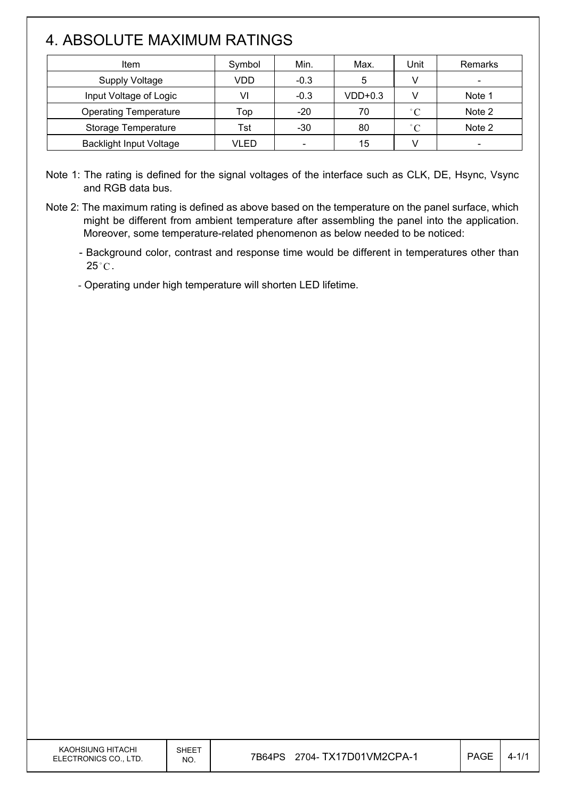# 4. ABSOLUTE MAXIMUM RATINGS

 $\overline{\phantom{a}}$ 

| Item                           | Symbol | Min.                     | Max.      | Unit              | Remarks |
|--------------------------------|--------|--------------------------|-----------|-------------------|---------|
| <b>Supply Voltage</b>          | VDD    | $-0.3$                   | 5         |                   |         |
| Input Voltage of Logic         | VI     | $-0.3$                   | $VDD+0.3$ |                   | Note 1  |
| <b>Operating Temperature</b>   | Top    | $-20$                    | 70        | $\degree$ C       | Note 2  |
| Storage Temperature            | Tst    | $-30$                    | 80        | $^{\circ}$ $\cap$ | Note 2  |
| <b>Backlight Input Voltage</b> | VLED   | $\overline{\phantom{0}}$ | 15        |                   |         |

Note 1: The rating is defined for the signal voltages of the interface such as CLK, DE, Hsync, Vsync and RGB data bus.

Note 2: The maximum rating is defined as above based on the temperature on the panel surface, which might be different from ambient temperature after assembling the panel into the application. Moreover, some temperature-related phenomenon as below needed to be noticed:

- Background color, contrast and response time would be different in temperatures other than  $25^{\circ}$ C.

- Operating under high temperature will shorten LED lifetime.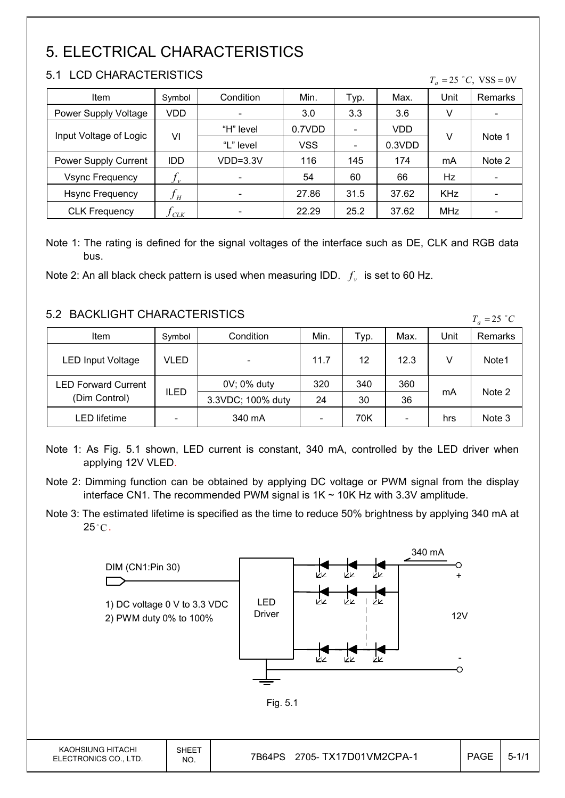# 5. ELECTRICAL CHARACTERISTICS

## 5.1 LCD CHARACTERISTICS

 $\mathsf{I}$ 

|  | $T_a = 25$ °C, VSS = 0V |  |
|--|-------------------------|--|
|  |                         |  |

| Item                   | Symbol                     | Condition                    | Min.       | Typ.                         | Max.   | Unit       | Remarks                  |
|------------------------|----------------------------|------------------------------|------------|------------------------------|--------|------------|--------------------------|
| Power Supply Voltage   | VDD                        | $\qquad \qquad \blacksquare$ | 3.0        | 3.3                          | 3.6    | V          | -                        |
|                        | VI                         | "H" level                    | 0.7VDD     |                              | VDD    |            |                          |
| Input Voltage of Logic |                            | "L" level                    | <b>VSS</b> | $\qquad \qquad \blacksquare$ | 0.3VDD | v          | Note 1                   |
| Power Supply Current   | <b>IDD</b>                 | $VDD=3.3V$                   | 116        | 145                          | 174    | mA         | Note 2                   |
| <b>Vsync Frequency</b> | $f_{v}$                    | -                            | 54         | 60                           | 66     | Hz         | $\overline{\phantom{a}}$ |
| <b>Hsync Frequency</b> | $f_{\scriptscriptstyle H}$ |                              | 27.86      | 31.5                         | 37.62  | <b>KHz</b> |                          |
| <b>CLK Frequency</b>   | CLK                        |                              | 22.29      | 25.2                         | 37.62  | <b>MHz</b> |                          |

Note 1: The rating is defined for the signal voltages of the interface such as DE, CLK and RGB data bus.

Note 2: An all black check pattern is used when measuring IDD.  $f_v$  is set to 60 Hz.

## 5.2 BACKLIGHT CHARACTERISTICS

| <u>J.Z DAUNLIUNI UNARAUTERISTIUS</u> |        |                   |      |      |                          |      | $T_a = 25$ °C     |
|--------------------------------------|--------|-------------------|------|------|--------------------------|------|-------------------|
| Item                                 | Symbol | Condition         | Min. | тур. | Max.                     | Unit | <b>Remarks</b>    |
| <b>LED Input Voltage</b>             | VLED   |                   | 11.7 | 12   | 12.3                     | v    | Note <sub>1</sub> |
| <b>LED Forward Current</b>           |        | 0V; 0% duty       | 320  | 340  | 360                      |      |                   |
| (Dim Control)                        | ILED   | 3.3VDC; 100% duty | 24   | 30   | 36                       | mA   | Note 2            |
| LED lifetime                         |        | 340 mA            |      | 70K  | $\overline{\phantom{a}}$ | hrs  | Note 3            |

Note 1: As Fig. 5.1 shown, LED current is constant, 340 mA, controlled by the LED driver when applying 12V VLED.

Note 3: The estimated lifetime is specified as the time to reduce 50% brightness by applying 340 mA at  $25^{\circ}$ C.



Note 2: Dimming function can be obtained by applying DC voltage or PWM signal from the display interface CN1. The recommended PWM signal is  $1K \sim 10K$  Hz with 3.3V amplitude.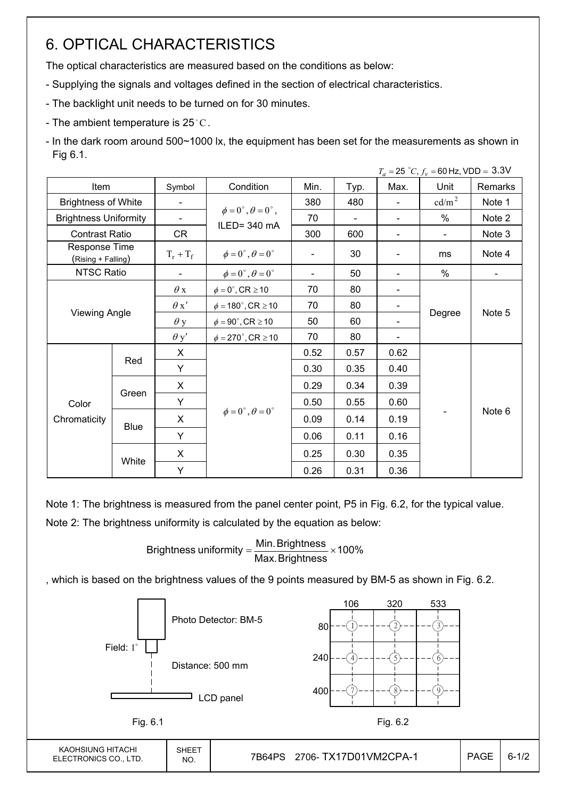# 6. OPTICAL CHARACTERISTICS

The optical characteristics are measured based on the conditions as below:

- Supplying the signals and voltages defined in the section of electrical characteristics.
- The backlight unit needs to be turned on for 30 minutes.
- The ambient temperature is 25 °C.
- In the dark room around 500~1000 lx, the equipment has been set for the measurements as shown in Fig 6.1.

|                                     |                      |                          |                                                         |      |                |                | $T_a = 25 °C$ , $f_v = 60$ Hz, VDD = 3.3V |         |
|-------------------------------------|----------------------|--------------------------|---------------------------------------------------------|------|----------------|----------------|-------------------------------------------|---------|
| Item                                |                      | Symbol                   | Condition                                               | Min. | Typ.           | Max.           | Unit                                      | Remarks |
| <b>Brightness of White</b>          |                      | $\blacksquare$           |                                                         | 380  | 480            | $\blacksquare$ | cd/m <sup>2</sup>                         | Note 1  |
| <b>Brightness Uniformity</b>        |                      | $\overline{\phantom{a}}$ | $\phi = 0^{\circ}, \theta = 0^{\circ}$ ,<br>ILED=340 mA | 70   | $\blacksquare$ |                | $\%$                                      | Note 2  |
| <b>Contrast Ratio</b>               |                      | CR                       |                                                         | 300  | 600            | $\blacksquare$ | $\blacksquare$                            | Note 3  |
| Response Time<br>(Rising + Falling) |                      | $T_r + T_f$              | $\phi = 0^{\circ}, \theta = 0^{\circ}$                  |      | 30             |                | ms                                        | Note 4  |
| NTSC Ratio                          |                      |                          | $\phi = 0^{\circ}, \theta = 0^{\circ}$                  |      | 50             |                | %                                         |         |
|                                     |                      | $\theta$ x               | $\phi = 0^\circ$ , CR $\geq 10$                         | 70   | 80             |                |                                           |         |
|                                     |                      | $\theta x'$              | $\phi = 180^{\circ}$ , CR $\geq 10$                     | 70   | 80             |                |                                           |         |
|                                     | <b>Viewing Angle</b> |                          | $\phi = 90^{\circ}$ , CR $\geq 10$                      | 50   | 60             |                | Degree                                    | Note 5  |
|                                     |                      | $\theta$ y'              | $\phi = 270^\circ$ , CR $\geq 10$                       | 70   | 80             |                |                                           |         |
|                                     |                      | X                        |                                                         | 0.52 | 0.57           | 0.62           |                                           |         |
|                                     | Red<br>Y             |                          |                                                         | 0.30 | 0.35           | 0.40           |                                           |         |
|                                     |                      | X                        |                                                         | 0.29 | 0.34           | 0.39           |                                           |         |
| Color                               | Green                | Y                        |                                                         | 0.50 | 0.55           | 0.60           |                                           |         |
| Chromaticity                        | <b>Blue</b>          | X                        | $\phi = 0^{\circ}, \theta = 0^{\circ}$                  | 0.09 | 0.14           | 0.19           |                                           | Note 6  |
|                                     |                      | Y                        |                                                         | 0.06 | 0.11           | 0.16           |                                           |         |
|                                     | White                | X                        |                                                         | 0.25 | 0.30           | 0.35           |                                           |         |
|                                     |                      | Y                        |                                                         | 0.26 | 0.31           | 0.36           |                                           |         |

Note 1: The brightness is measured from the panel center point, P5 in Fig. 6.2, for the typical value.

Note 2: The brightness uniformity is calculated by the equation as below:

Brightness uniformity  $=\frac{1}{2}$  is  $\frac{1}{2}$  in  $\frac{1}{2}$  in  $\frac{1}{2}$  is  $\frac{1}{2}$  in  $\frac{1}{2}$  in  $\frac{1}{2}$  is  $\frac{1}{2}$  in  $\frac{1}{2}$  in  $\frac{1}{2}$  is  $\frac{1}{2}$  in  $\frac{1}{2}$  in  $\frac{1}{2}$  is  $\frac{1}{2}$  in  $\frac{1}{2}$  in  $\frac{$ Max. Brightness Brightness uniformity  $=\frac{\text{Min.} \text{Brightness}}{\text{min.} \times \text{min.}}$ 

, which is based on the brightness values of the 9 points measured by BM-5 as shown in Fig. 6.2.

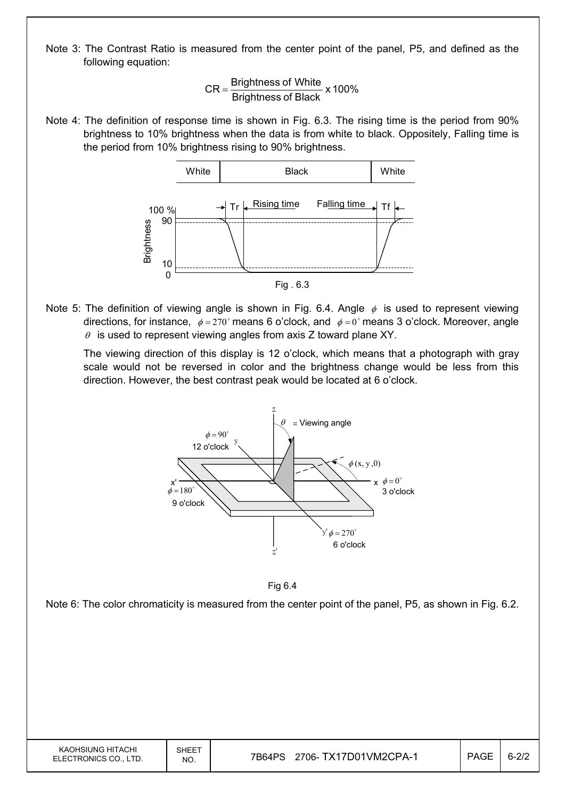Note 3: The Contrast Ratio is measured from the center point of the panel, P5, and defined as the following equation:

$$
CR = \frac{Brightness of White}{Brightness of Black} \times 100\%
$$

Note 4: The definition of response time is shown in Fig. 6.3. The rising time is the period from 90% brightness to 10% brightness when the data is from white to black. Oppositely, Falling time is the period from 10% brightness rising to 90% brightness.



Note 5: The definition of viewing angle is shown in Fig. 6.4. Angle  $\phi$  is used to represent viewing directions, for instance,  $\phi = 270^\circ$  means 6 o'clock, and  $\phi = 0^\circ$  means 3 o'clock. Moreover, angle  $\theta$  is used to represent viewing angles from axis Z toward plane XY.

 The viewing direction of this display is 12 o'clock, which means that a photograph with gray scale would not be reversed in color and the brightness change would be less from this direction. However, the best contrast peak would be located at 6 o'clock.





Note 6: The color chromaticity is measured from the center point of the panel, P5, as shown in Fig. 6.2.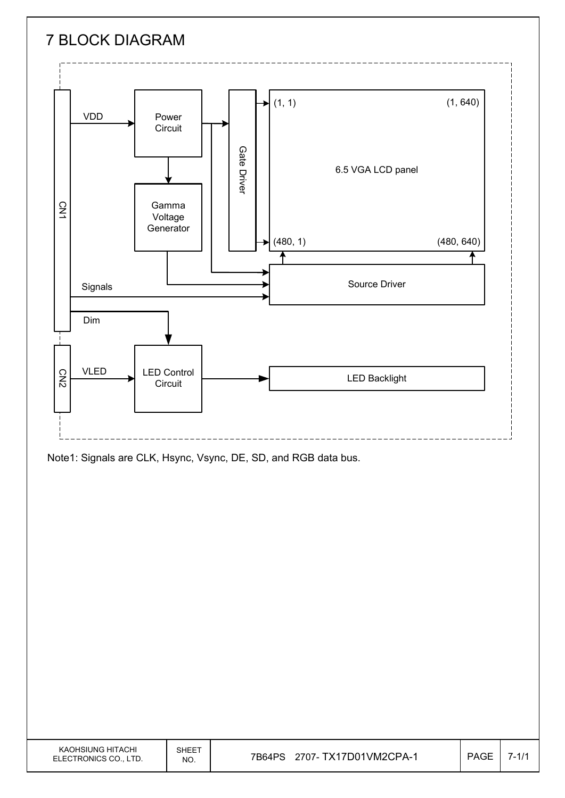

Note1: Signals are CLK, Hsync, Vsync, DE, SD, and RGB data bus.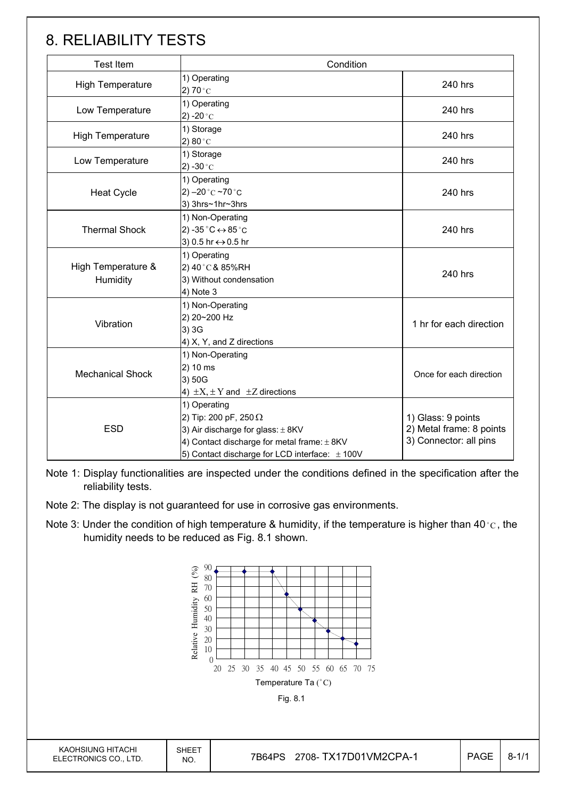# 8. RELIABILITY TESTS

| <b>Test Item</b>               | Condition                                                                                                                                                                                      |                                                                          |  |
|--------------------------------|------------------------------------------------------------------------------------------------------------------------------------------------------------------------------------------------|--------------------------------------------------------------------------|--|
| <b>High Temperature</b>        | 1) Operating<br>2) 70 $^{\circ}$ C                                                                                                                                                             | 240 hrs                                                                  |  |
| Low Temperature                | 1) Operating<br>2) -20 $^{\circ}$ C                                                                                                                                                            | 240 hrs                                                                  |  |
| <b>High Temperature</b>        | 1) Storage<br>2) $80^{\circ}$ C                                                                                                                                                                | 240 hrs                                                                  |  |
| Low Temperature                | 1) Storage<br>2) -30 $^{\circ}$ C                                                                                                                                                              | 240 hrs                                                                  |  |
| <b>Heat Cycle</b>              | 1) Operating<br>2) $-20$ °C $-70$ °C<br>3) 3hrs~1hr~3hrs                                                                                                                                       | 240 hrs                                                                  |  |
| <b>Thermal Shock</b>           | 1) Non-Operating<br>2) -35 $^{\circ}$ C $\leftrightarrow$ 85 $^{\circ}$ C<br>3) 0.5 hr ↔ 0.5 hr                                                                                                | 240 hrs                                                                  |  |
| High Temperature &<br>Humidity | 1) Operating<br>2) 40°C & 85%RH<br>3) Without condensation<br>4) Note 3                                                                                                                        | 240 hrs                                                                  |  |
| Vibration                      | 1) Non-Operating<br>2) 20~200 Hz<br>3) 3G<br>4) X, Y, and Z directions                                                                                                                         | 1 hr for each direction                                                  |  |
| <b>Mechanical Shock</b>        | 1) Non-Operating<br>2) 10 ms<br>3) 50G<br>4) $\pm X$ , $\pm Y$ and $\pm Z$ directions                                                                                                          | Once for each direction                                                  |  |
| <b>ESD</b>                     | 1) Operating<br>2) Tip: 200 pF, 250 $\Omega$<br>3) Air discharge for glass: $\pm$ 8KV<br>4) Contact discharge for metal frame: $\pm$ 8KV<br>5) Contact discharge for LCD interface: $\pm$ 100V | 1) Glass: 9 points<br>2) Metal frame: 8 points<br>3) Connector: all pins |  |

Note 1: Display functionalities are inspected under the conditions defined in the specification after the reliability tests.

- Note 2: The display is not guaranteed for use in corrosive gas environments.
- Note 3: Under the condition of high temperature & humidity, if the temperature is higher than 40 °C, the humidity needs to be reduced as Fig. 8.1 shown.

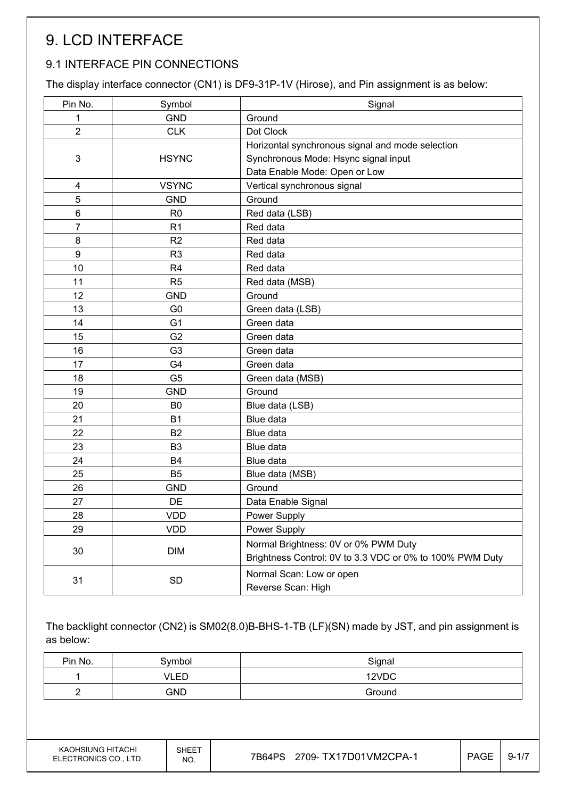# 9. LCD INTERFACE

# 9.1 INTERFACE PIN CONNECTIONS

The display interface connector (CN1) is DF9-31P-1V (Hirose), and Pin assignment is as below:

| Pin No.        | Symbol         | Signal                                                   |
|----------------|----------------|----------------------------------------------------------|
| 1              | <b>GND</b>     | Ground                                                   |
| $\overline{2}$ | <b>CLK</b>     | Dot Clock                                                |
|                |                | Horizontal synchronous signal and mode selection         |
| 3              | <b>HSYNC</b>   | Synchronous Mode: Hsync signal input                     |
|                |                | Data Enable Mode: Open or Low                            |
| 4              | <b>VSYNC</b>   | Vertical synchronous signal                              |
| 5              | <b>GND</b>     | Ground                                                   |
| 6              | R <sub>0</sub> | Red data (LSB)                                           |
| $\overline{7}$ | R <sub>1</sub> | Red data                                                 |
| 8              | R <sub>2</sub> | Red data                                                 |
| 9              | R <sub>3</sub> | Red data                                                 |
| 10             | R <sub>4</sub> | Red data                                                 |
| 11             | R <sub>5</sub> | Red data (MSB)                                           |
| 12             | <b>GND</b>     | Ground                                                   |
| 13             | G <sub>0</sub> | Green data (LSB)                                         |
| 14             | G <sub>1</sub> | Green data                                               |
| 15             | G <sub>2</sub> | Green data                                               |
| 16             | G <sub>3</sub> | Green data                                               |
| 17             | G4             | Green data                                               |
| 18             | G <sub>5</sub> | Green data (MSB)                                         |
| 19             | <b>GND</b>     | Ground                                                   |
| 20             | B <sub>0</sub> | Blue data (LSB)                                          |
| 21             | <b>B1</b>      | Blue data                                                |
| 22             | <b>B2</b>      | Blue data                                                |
| 23             | B <sub>3</sub> | Blue data                                                |
| 24             | <b>B4</b>      | Blue data                                                |
| 25             | B <sub>5</sub> | Blue data (MSB)                                          |
| 26             | <b>GND</b>     | Ground                                                   |
| 27             | DE             | Data Enable Signal                                       |
| 28             | <b>VDD</b>     | Power Supply                                             |
| 29             | <b>VDD</b>     | Power Supply                                             |
| 30             | <b>DIM</b>     | Normal Brightness: 0V or 0% PWM Duty                     |
|                |                | Brightness Control: 0V to 3.3 VDC or 0% to 100% PWM Duty |
| 31             | SD             | Normal Scan: Low or open                                 |
|                |                | Reverse Scan: High                                       |

The backlight connector (CN2) is SM02(8.0)B-BHS-1-TB (LF)(SN) made by JST, and pin assignment is as below:

| Pin No. | 3ymbol | Signal |
|---------|--------|--------|
|         | VLED   | 12VDC  |
|         | GND    | Ground |

KAOHSIUNG HITACHI ELECTRONICS CO., LTD.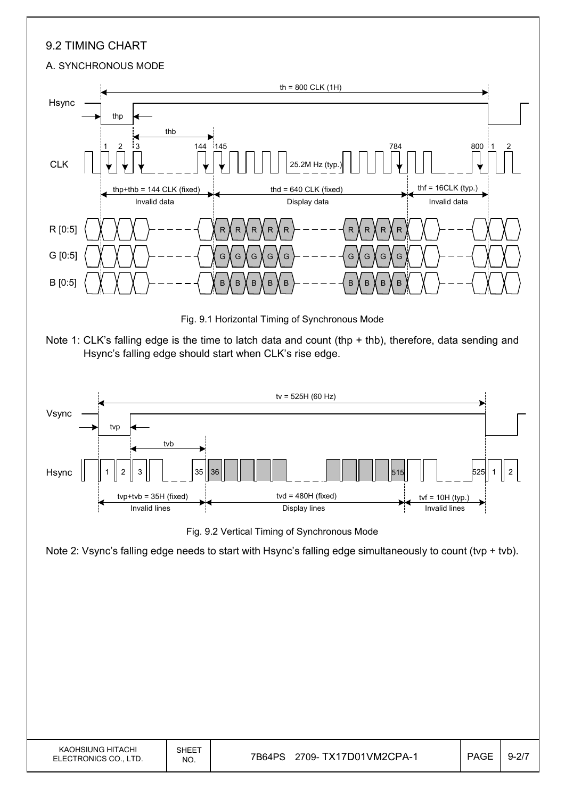## 9.2 TIMING CHART

#### A. SYNCHRONOUS MODE



Fig. 9.1 Horizontal Timing of Synchronous Mode





Fig. 9.2 Vertical Timing of Synchronous Mode

Note 2: Vsync's falling edge needs to start with Hsync's falling edge simultaneously to count (tvp + tvb).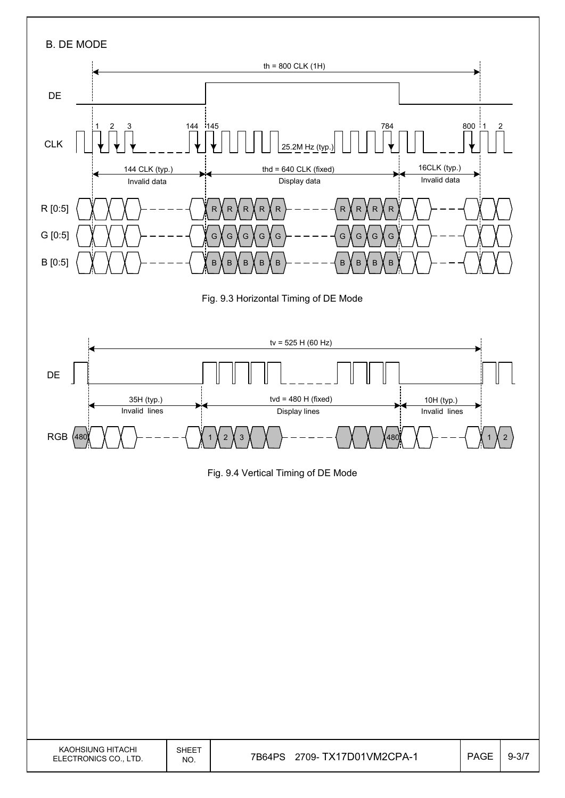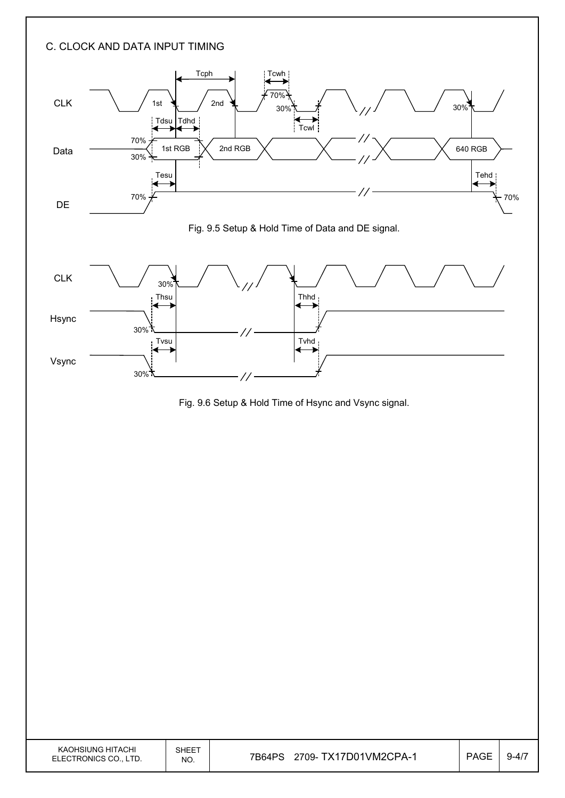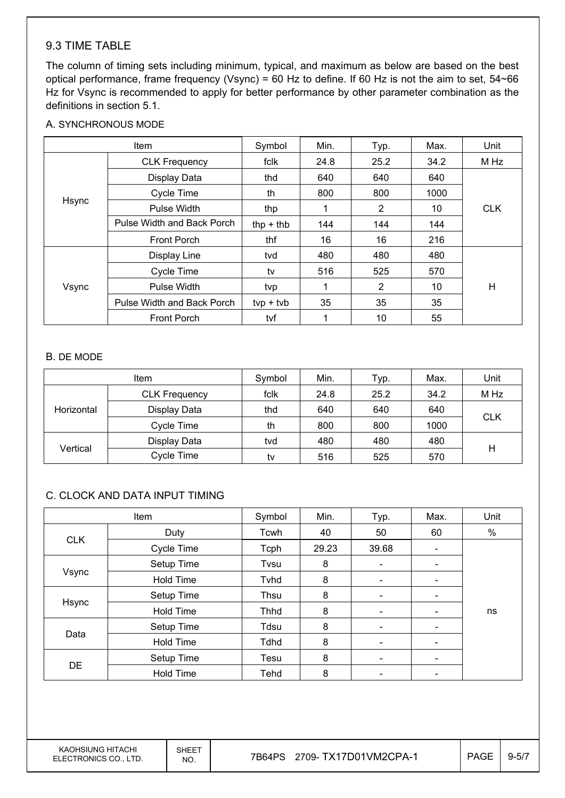## 9.3 TIME TABLE

The column of timing sets including minimum, typical, and maximum as below are based on the best optical performance, frame frequency (Vsync) = 60 Hz to define. If 60 Hz is not the aim to set, 54~66 Hz for Vsync is recommended to apply for better performance by other parameter combination as the definitions in section 5.1.

#### A. SYNCHRONOUS MODE

| Item  |                            | Symbol      | Min. | Typ.           | Max. | Unit       |
|-------|----------------------------|-------------|------|----------------|------|------------|
|       | <b>CLK Frequency</b>       | fclk        | 24.8 | 25.2           | 34.2 | M Hz       |
|       | Display Data               | thd         | 640  | 640            | 640  |            |
|       | Cycle Time                 | th          | 800  | 800            | 1000 |            |
| Hsync | Pulse Width                | thp         |      | $\overline{2}$ | 10   | <b>CLK</b> |
|       | Pulse Width and Back Porch | thp $+$ thb | 144  | 144            | 144  |            |
|       | <b>Front Porch</b>         | thf         | 16   | 16             | 216  |            |
|       | Display Line               | tvd         | 480  | 480            | 480  |            |
|       | Cycle Time                 | tv          | 516  | 525            | 570  |            |
| Vsync | Pulse Width                | tvp         |      | 2              | 10   | Н          |
|       | Pulse Width and Back Porch | $typ + tvb$ | 35   | 35             | 35   |            |
|       | <b>Front Porch</b>         | tvf         |      | 10             | 55   |            |

#### B. DE MODE

| <b>Item</b> |                      | Symbol | Min. | Typ. | Max. | Unit       |
|-------------|----------------------|--------|------|------|------|------------|
|             | <b>CLK Frequency</b> | fclk   | 24.8 | 25.2 | 34.2 | M Hz       |
| Horizontal  | Display Data         | thd    | 640  | 640  | 640  |            |
|             | Cycle Time           | th     | 800  | 800  | 1000 | <b>CLK</b> |
|             | Display Data         | tvd    | 480  | 480  | 480  |            |
| Vertical    | Cycle Time           | tv     | 516  | 525  | 570  | н          |

#### C. CLOCK AND DATA INPUT TIMING

| Item       |                  | Symbol      | Min.  | Typ.                     | Max.                         | Unit |
|------------|------------------|-------------|-------|--------------------------|------------------------------|------|
|            | Duty             | Tcwh        | 40    | 50                       | 60                           | %    |
| <b>CLK</b> | Cycle Time       | Tcph        | 29.23 | 39.68                    | $\overline{\phantom{a}}$     |      |
|            | Setup Time       | Tvsu        | 8     | $\overline{\phantom{a}}$ |                              |      |
| Vsync      | <b>Hold Time</b> | Tyhd        | 8     | $\overline{\phantom{a}}$ | $\overline{\phantom{0}}$     |      |
|            | Setup Time       | Thsu        | 8     | $\overline{\phantom{a}}$ | $\qquad \qquad \blacksquare$ |      |
| Hsync      | <b>Hold Time</b> | <b>Thhd</b> | 8     | $\overline{\phantom{a}}$ | -                            | ns   |
|            | Setup Time       | Tdsu        | 8     |                          |                              |      |
| Data       | <b>Hold Time</b> | Tdhd        | 8     | $\overline{\phantom{a}}$ | $\qquad \qquad \blacksquare$ |      |
|            | Setup Time       | Tesu        | 8     | $\overline{\phantom{a}}$ | $\overline{\phantom{0}}$     |      |
| <b>DE</b>  | <b>Hold Time</b> | Tehd        | 8     |                          |                              |      |

KAOHSIUNG HITACHI ELECTRONICS CO., LTD.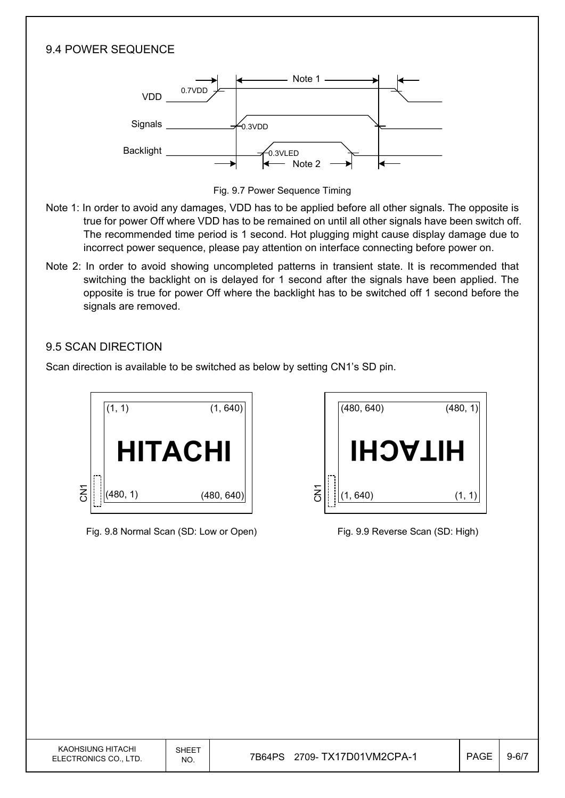## 9.4 POWER SEQUENCE



Fig. 9.7 Power Sequence Timing

- Note 1: In order to avoid any damages, VDD has to be applied before all other signals. The opposite is true for power Off where VDD has to be remained on until all other signals have been switch off. The recommended time period is 1 second. Hot plugging might cause display damage due to incorrect power sequence, please pay attention on interface connecting before power on.
- Note 2: In order to avoid showing uncompleted patterns in transient state. It is recommended that switching the backlight on is delayed for 1 second after the signals have been applied. The opposite is true for power Off where the backlight has to be switched off 1 second before the signals are removed.

## 9.5 SCAN DIRECTION

Scan direction is available to be switched as below by setting CN1's SD pin.



Fig. 9.8 Normal Scan (SD: Low or Open) Fig. 9.9 Reverse Scan (SD: High)

|                       | (480, 640) | (480, 1) |
|-----------------------|------------|----------|
|                       | HIJACH     |          |
| $\overline{\text{S}}$ | (1, 640)   | (1,      |

| KAOHSIUNG HITACHI<br>ELECTRONICS CO., LTD. | SHEET<br>NO. | TX17D01VM2CPA-1<br>7B64PS<br>?709- . | <b>PAGE</b> | $9 - 6/7$ |
|--------------------------------------------|--------------|--------------------------------------|-------------|-----------|
|                                            |              |                                      |             |           |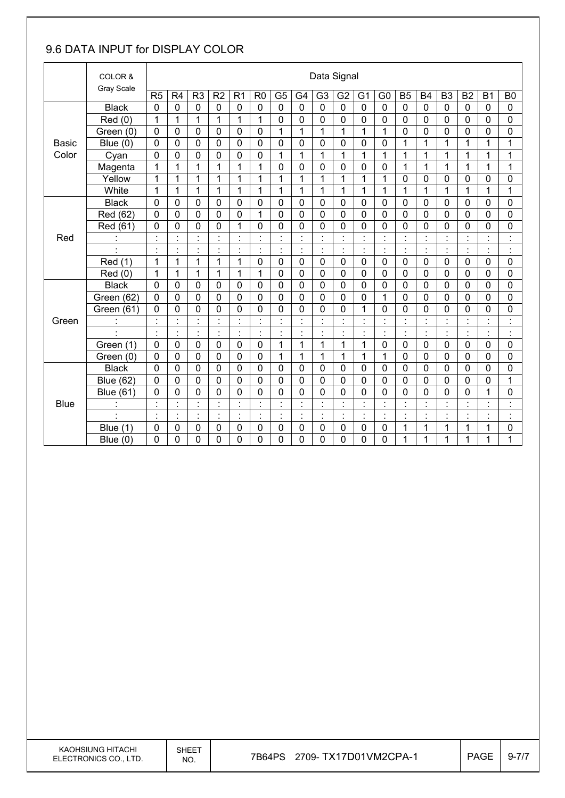# 9.6 DATA INPUT for DISPLAY COLOR

|              | COLOR &                  |                |                    |                             |                     |                                  |                |                |                | Data Signal                       |                |                |                      |                             |                |                          |                             |                          |                      |
|--------------|--------------------------|----------------|--------------------|-----------------------------|---------------------|----------------------------------|----------------|----------------|----------------|-----------------------------------|----------------|----------------|----------------------|-----------------------------|----------------|--------------------------|-----------------------------|--------------------------|----------------------|
|              | Gray Scale               | R <sub>5</sub> | R4                 | R <sub>3</sub>              | R2                  | R <sub>1</sub>                   | R <sub>0</sub> | G <sub>5</sub> | G4             | G <sub>3</sub>                    | G <sub>2</sub> | G <sub>1</sub> | G <sub>0</sub>       | <b>B5</b>                   | <b>B4</b>      | B <sub>3</sub>           | <b>B2</b>                   | <b>B1</b>                | B <sub>0</sub>       |
|              | <b>Black</b>             | $\mathbf 0$    | 0                  | 0                           | $\mathbf 0$         | $\mathbf 0$                      | $\mathbf 0$    | $\mathbf 0$    | $\overline{0}$ | $\mathbf 0$                       | $\mathbf 0$    | $\mathbf 0$    | $\mathbf 0$          | $\mathbf 0$                 | $\mathbf 0$    | $\overline{0}$           | 0                           | $\mathbf 0$              | $\mathbf 0$          |
|              | Red(0)                   | 1              | $\mathbf{1}$       | 1                           | 1                   | 1                                | 1              | $\mathbf 0$    | $\mathbf 0$    | 0                                 | 0              | 0              | 0                    | $\mathbf 0$                 | $\mathbf 0$    | $\mathbf 0$              | 0                           | $\mathbf 0$              | 0                    |
|              | Green (0)                | 0              | 0                  | 0                           | 0                   | 0                                | $\mathbf 0$    | 1              | $\mathbf{1}$   | 1                                 | 1              | 1              | 1                    | $\mathbf 0$                 | 0              | $\mathbf 0$              | 0                           | 0                        | 0                    |
| <b>Basic</b> | Blue $(0)$               | $\overline{0}$ | 0                  | 0                           | 0                   | 0                                | $\mathbf 0$    | $\mathbf 0$    | $\mathbf 0$    | 0                                 | $\mathbf 0$    | 0              | 0                    | 1                           | $\mathbf{1}$   | $\mathbf{1}$             | 1                           | 1                        | 1                    |
| Color        | Cyan                     | $\mathbf 0$    | 0                  | 0                           | 0                   | 0                                | 0              | 1              | 1              | 1                                 | 1              | 1              | 1                    | 1                           | 1              | 1                        | 1                           | 1                        | 1                    |
|              | Magenta                  | 1              | 1                  | $\mathbf{1}$                | 1                   | 1                                | 1              | $\pmb{0}$      | $\mathbf 0$    | 0                                 | 0              | 0              | $\pmb{0}$            | 1                           | 1              | $\mathbf{1}$             | 1                           | 1                        | 1                    |
|              | Yellow                   | 1              | $\mathbf{1}$       | $\mathbf{1}$                | 1                   | 1                                | 1              | $\mathbf{1}$   | $\mathbf{1}$   | $\mathbf{1}$                      | $\overline{1}$ | 1              | $\mathbf{1}$         | $\mathbf 0$                 | $\overline{0}$ | $\mathbf 0$              | 0                           | 0                        | $\mathbf 0$          |
|              | White                    | 1              | 1                  | 1                           | 1                   | 1                                | 1              | 1              | 1              | 1                                 | 1              | 1              | 1                    | 1                           | 1              | 1                        | 1                           | 1                        | 1                    |
|              | <b>Black</b>             | 0              | 0                  | 0                           | 0                   | 0                                | $\mathbf 0$    | 0              | 0              | 0                                 | 0              | 0              | 0                    | 0                           | 0              | $\mathbf 0$              | 0                           | 0                        | 0                    |
|              | Red (62)                 | $\overline{0}$ | 0                  | 0                           | 0                   | 0                                | $\mathbf{1}$   | $\mathbf 0$    | $\mathbf 0$    | 0                                 | $\mathbf 0$    | 0              | 0                    | $\mathbf 0$                 | $\overline{0}$ | $\mathbf 0$              | 0                           | 0                        | $\mathbf 0$          |
|              | Red (61)                 | 0              | 0                  | 0                           | 0                   | 1                                | $\mathbf 0$    | $\mathbf 0$    | $\mathbf 0$    | 0                                 | 0              | 0              | 0                    | $\mathbf 0$                 | 0              | $\mathbf 0$              | 0                           | 0                        | 0                    |
| Red          |                          | $\blacksquare$ | $\ddot{\cdot}$     | $\blacksquare$<br>ä.        | $\ddot{\cdot}$      | $\ddot{\cdot}$                   |                | $\ddot{\cdot}$ | $\blacksquare$ |                                   |                |                | $\ddot{\cdot}$       | $\ddot{\phantom{a}}$        |                |                          |                             | $\cdot$                  | $\ddot{\cdot}$       |
|              |                          | $\blacksquare$ | $\cdot$<br>$\cdot$ | $\blacksquare$<br>$\bullet$ | $\cdot$<br>٠        | $\blacksquare$<br>$\blacksquare$ | $\blacksquare$ | $\ddot{\cdot}$ | $\blacksquare$ | $\blacksquare$<br>×,              | $\cdot$<br>٠   | $\cdot$<br>×,  | $\cdot$<br>٠         | $\blacksquare$<br>$\bullet$ | $\ddot{\cdot}$ | $\overline{\phantom{a}}$ | $\blacksquare$<br>$\bullet$ | $\overline{\phantom{a}}$ | $\cdot$<br>٠         |
|              | Red (1)                  | 1              | 1                  | $\mathbf{1}$                | 1                   | $\mathbf{1}$                     | $\mathbf 0$    | $\mathbf 0$    | $\mathbf 0$    | $\overline{0}$                    | $\mathbf 0$    | $\mathbf 0$    | 0                    | $\mathbf 0$                 | $\overline{0}$ | $\mathbf 0$              | $\mathbf 0$                 | 0                        | $\mathbf 0$          |
|              | Red (0)                  | 1              | 1                  | 1                           | 1                   | 1                                | 1              | $\mathbf 0$    | 0              | 0                                 | 0              | 0              | 0                    | $\mathbf 0$                 | 0              | $\mathbf 0$              | 0                           | 0                        | 0                    |
|              | <b>Black</b>             | 0              | 0                  | 0                           | 0                   | 0                                | $\mathbf 0$    | $\mathbf 0$    | $\mathbf 0$    | 0                                 | $\mathbf 0$    | 0              | 0                    | $\mathbf 0$                 | 0              | $\mathbf 0$              | 0                           | 0                        | 0                    |
|              | Green (62)               | $\overline{0}$ | 0                  | $\mathbf 0$                 | 0                   | $\overline{0}$                   | $\overline{0}$ | 0              | $\overline{0}$ | 0                                 | $\overline{0}$ | 0              | $\overline{1}$       | $\mathbf 0$                 | $\overline{0}$ | $\mathbf 0$              | 0                           | $\overline{0}$           | 0                    |
|              | Green (61)               | 0              | 0                  | 0                           | 0                   | 0                                | $\mathbf 0$    | 0              | $\mathbf 0$    | 0                                 | 0              | 1              | 0                    | $\mathbf 0$                 | 0              | $\overline{0}$           | 0                           | 0                        | 0                    |
| Green        |                          | t.             | Ì.                 | t                           | $\ddot{\cdot}$      | $\ddot{\phantom{a}}$             | $\blacksquare$ | $\ddot{\cdot}$ | $\ddot{\cdot}$ |                                   | $\blacksquare$ | t.             | $\ddot{\phantom{a}}$ | $\ddot{\cdot}$              | $\cdot$        | Ì.                       | t,                          | $\ddot{\cdot}$           | $\ddot{\cdot}$       |
|              | $\overline{\phantom{a}}$ | ÷,             | Ì.                 | ċ,                          | Ì.                  | $\ddot{\cdot}$                   | $\ddot{\cdot}$ | Ì.             | Ì.             | $\ddot{\cdot}$                    | ÷              | $\ddot{\cdot}$ | ł,                   | ċ                           | ċ              | ÷                        | ř,                          | $\ddot{\cdot}$           | $\ddot{\cdot}$       |
|              | Green (1)                | $\mathbf 0$    | 0                  | 0                           | $\mathbf 0$         | 0                                | $\mathbf 0$    | 1              | 1              | 1                                 | 1              | 1              | 0                    | $\mathbf 0$                 | $\mathbf 0$    | $\mathbf 0$              | 0                           | 0                        | $\mathbf 0$          |
|              | Green (0)                | 0              | 0                  | 0                           | 0                   | 0                                | $\mathbf 0$    | 1              | 1              | 1                                 | 1              | 1              | 1                    | $\mathbf 0$                 | 0              | $\mathbf 0$              | 0                           | 0                        | 0                    |
|              | <b>Black</b>             | $\mathbf 0$    | 0                  | 0                           | 0                   | 0                                | $\mathbf 0$    | $\mathbf 0$    | $\mathbf 0$    | 0                                 | $\mathbf 0$    | 0              | 0                    | $\mathbf 0$                 | 0              | $\mathbf 0$              | 0                           | 0                        | $\mathbf 0$          |
|              | <b>Blue (62)</b>         | $\mathbf 0$    | 0                  | 0                           | 0                   | 0                                | $\mathbf 0$    | $\mathbf 0$    | $\mathbf 0$    | 0                                 | $\mathbf 0$    | 0              | 0                    | $\mathbf 0$                 | 0              | $\mathbf 0$              | 0                           | 0                        | 1                    |
|              | <b>Blue (61)</b>         | 0              | 0                  | 0                           | 0                   | 0                                | $\Omega$       | 0              | $\mathbf 0$    | 0                                 | 0              | 0              | 0                    | $\mathbf 0$                 | 0              | 0                        | 0                           | 1                        | 0                    |
| <b>Blue</b>  |                          | $\blacksquare$ | $\blacksquare$     | $\blacksquare$              | $\blacksquare$      | $\blacksquare$                   | $\cdot$        | $\blacksquare$ | $\cdot$        | $\blacksquare$                    | $\cdot$        | $\cdot$        | $\blacksquare$       | $\blacksquare$              | $\cdot$        | $\blacksquare$           | $\blacksquare$              | $\cdot$                  | $\cdot$<br>ä,        |
|              |                          |                | Ì.                 | ä,<br>٠                     | $\blacksquare$<br>٠ | $\ddot{\cdot}$                   |                | ÷,             | t,             | $\ddot{\phantom{0}}$<br>$\bullet$ |                | Ì,             | $\cdot$<br>$\bullet$ | ċ                           | $\cdot$        |                          | l,<br>$\blacksquare$        | $\cdot$<br>٠.            | $\cdot$<br>$\bullet$ |
|              | Blue $(1)$               | 0              | 0                  | 0                           | 0                   | 0                                | 0              | $\mathbf 0$    | $\mathbf 0$    | 0                                 | 0              | 0              | 0                    | 1                           | 1              | 1                        | 1                           | 1                        | 0                    |
|              | Blue $(0)$               | 0              | 0                  | $\mathbf 0$                 | 0                   | 0                                | $\mathbf 0$    | 0              | $\overline{0}$ | 0                                 | 0              | $\overline{0}$ | 0                    | $\mathbf{1}$                | 1              | 1                        | 1                           | $\mathbf{1}$             | 1                    |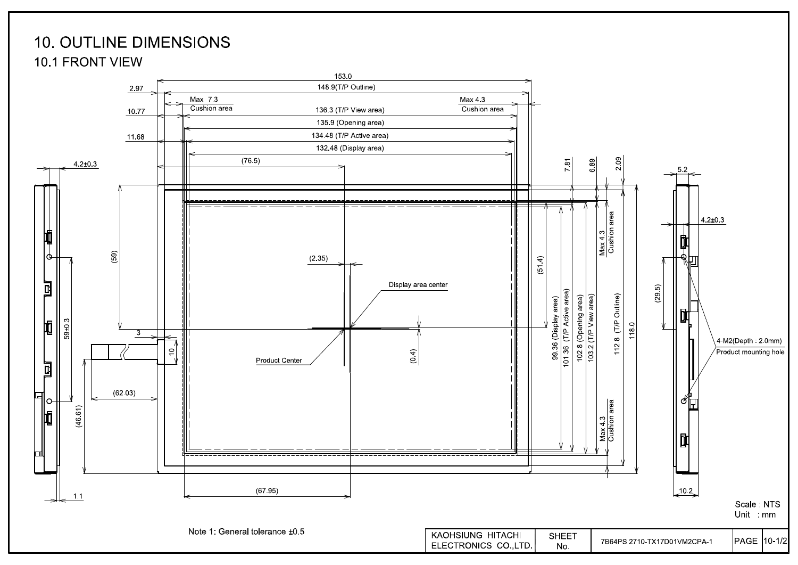# **10. OUTLINE DIMENSIONS**

**10.1 FRONT VIEW** 

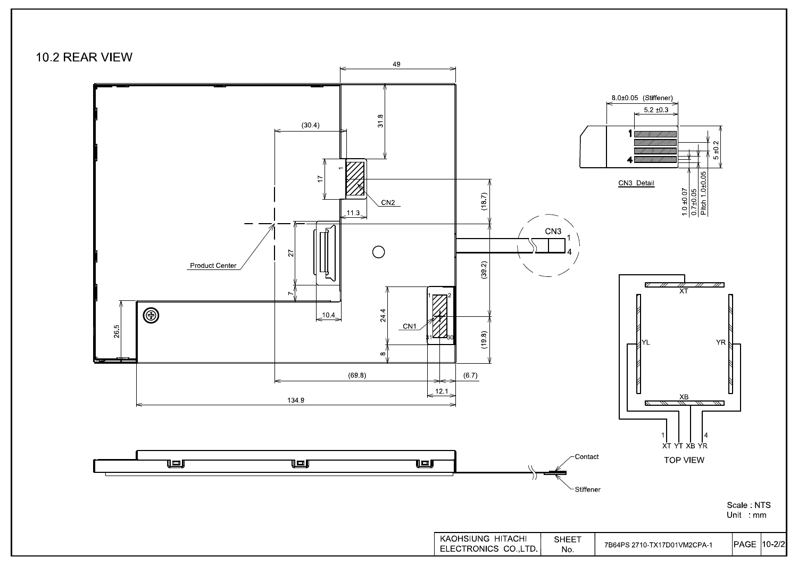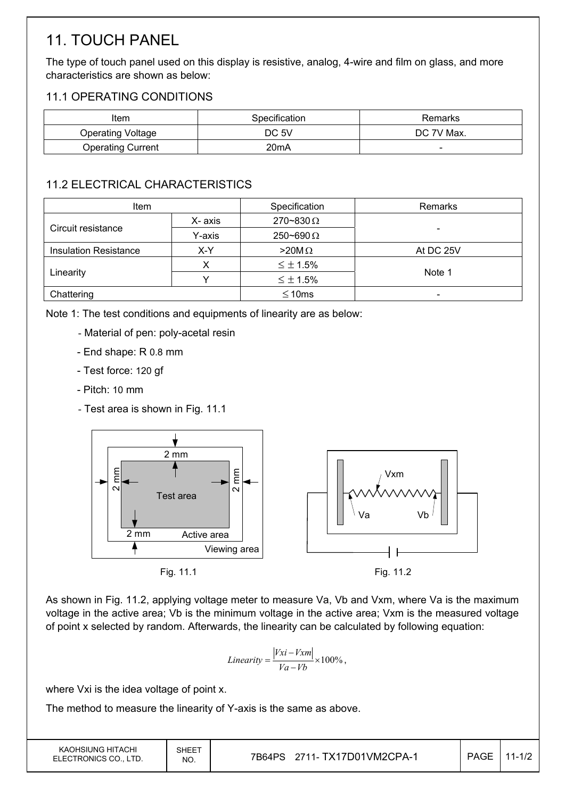# 11. TOUCH PANEL

The type of touch panel used on this display is resistive, analog, 4-wire and film on glass, and more characteristics are shown as below:

## 11.1 OPERATING CONDITIONS

| Item                     | Specification | Remarks                  |
|--------------------------|---------------|--------------------------|
| <b>Operating Voltage</b> | DC 5V         | DC 7V Max.               |
| <b>Operating Current</b> | 20mA          | $\overline{\phantom{0}}$ |

# 11.2 ELECTRICAL CHARACTERISTICS

| <b>Item</b>                  |         | Specification      | Remarks   |
|------------------------------|---------|--------------------|-----------|
| Circuit resistance           | X- axis | $270 - 830 \Omega$ |           |
|                              | Y-axis  | $250 - 690 \Omega$ | -         |
| <b>Insulation Resistance</b> | X-Y     |                    | At DC 25V |
|                              |         | $\leq \pm 1.5\%$   |           |
| Linearity                    |         | $\leq \pm 1.5\%$   | Note 1    |
| Chattering                   |         | $\leq 10$ ms       | -         |

Note 1: The test conditions and equipments of linearity are as below:

- Material of pen: poly-acetal resin
- End shape: R 0.8 mm
- Test force: 120 gf
- Pitch: 10 mm
- Test area is shown in Fig. 11.1



As shown in Fig. 11.2, applying voltage meter to measure Va, Vb and Vxm, where Va is the maximum voltage in the active area; Vb is the minimum voltage in the active area; Vxm is the measured voltage of point x selected by random. Afterwards, the linearity can be calculated by following equation:

$$
Linearity = \frac{|Vxi - Vxm|}{Va - Vb} \times 100\%,
$$

where Vxi is the idea voltage of point x.

The method to measure the linearity of Y-axis is the same as above.

| KAOHSIUNG HITACHI<br>ELECTRONICS CO., LTD. | <b>SHEET</b><br>NO. | 7B64PS 2711- TX17D01VM2CPA-1 | <b>PAGE</b> | $11 - 1/2$ |
|--------------------------------------------|---------------------|------------------------------|-------------|------------|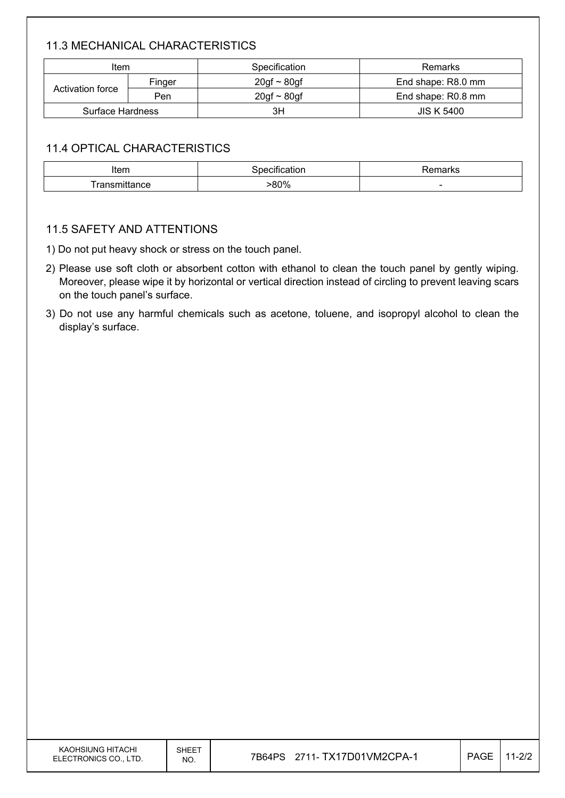## 11.3 MECHANICAL CHARACTERISTICS

| Item             |        | Specification    | Remarks            |
|------------------|--------|------------------|--------------------|
|                  | Finger | $20gf \sim 80gf$ | End shape: R8.0 mm |
| Activation force | Pen    | $20gf \sim 80gf$ | End shape: R0.8 mm |
| Surface Hardness |        | ЗH               | <b>JIS K 5400</b>  |

## 11.4 OPTICAL CHARACTERISTICS

| Item                               | .   | ™lai N⊾                  |
|------------------------------------|-----|--------------------------|
| ronom<br>********<br>ance<br>. a r | 80% | $\overline{\phantom{a}}$ |

## 11.5 SAFETY AND ATTENTIONS

- 1) Do not put heavy shock or stress on the touch panel.
- 2) Please use soft cloth or absorbent cotton with ethanol to clean the touch panel by gently wiping. Moreover, please wipe it by horizontal or vertical direction instead of circling to prevent leaving scars on the touch panel's surface.
- 3) Do not use any harmful chemicals such as acetone, toluene, and isopropyl alcohol to clean the display's surface.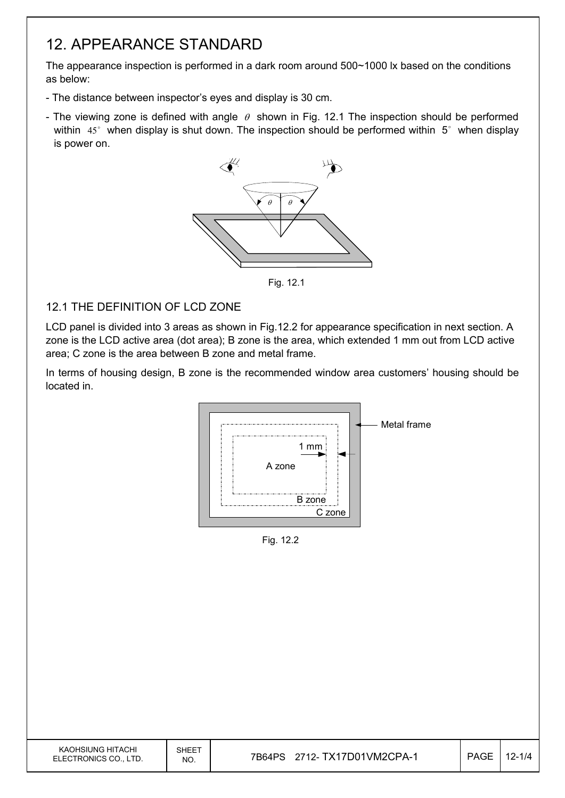# 12. APPEARANCE STANDARD

The appearance inspection is performed in a dark room around 500~1000 lx based on the conditions as below:

- The distance between inspector's eyes and display is 30 cm.
- The viewing zone is defined with angle  $\theta$  shown in Fig. 12.1 The inspection should be performed within  $45^\circ$  when display is shut down. The inspection should be performed within  $5^\circ$  when display is power on.



Fig. 12.1

## 12.1 THE DEFINITION OF LCD ZONE

LCD panel is divided into 3 areas as shown in Fig.12.2 for appearance specification in next section. A zone is the LCD active area (dot area); B zone is the area, which extended 1 mm out from LCD active area; C zone is the area between B zone and metal frame.

In terms of housing design, B zone is the recommended window area customers' housing should be located in.



Fig. 12.2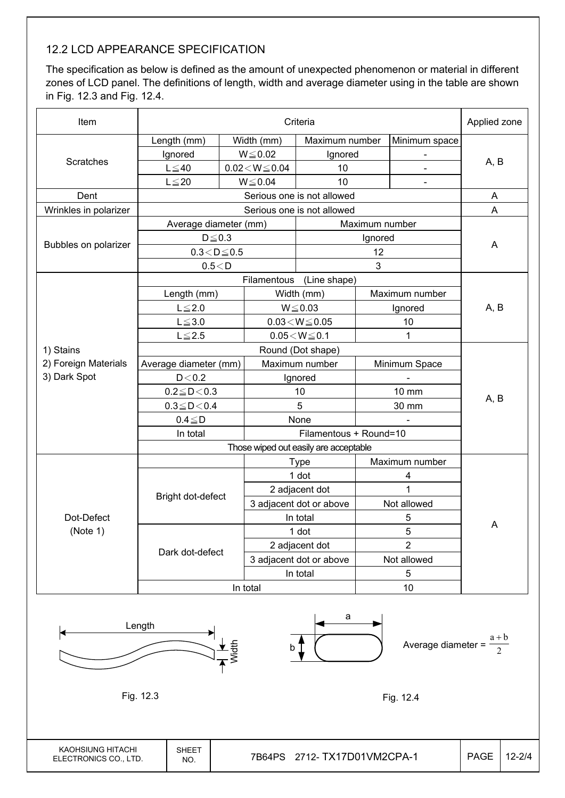## 12.2 LCD APPEARANCE SPECIFICATION

The specification as below is defined as the amount of unexpected phenomenon or material in different zones of LCD panel. The definitions of length, width and average diameter using in the table are shown in Fig. 12.3 and Fig. 12.4.

| Item                  |                        | Applied zone |                                       |                            |                |                |      |  |
|-----------------------|------------------------|--------------|---------------------------------------|----------------------------|----------------|----------------|------|--|
|                       | Length (mm)            |              | Width (mm)                            | Maximum number             |                | Minimum space  |      |  |
|                       | Ignored                |              | $W \le 0.02$                          | Ignored                    |                |                |      |  |
| <b>Scratches</b>      | $L \leq 40$            |              | $0.02\!<\!W\!\leq\!0.04$              | 10                         |                | $\blacksquare$ | A, B |  |
|                       | $L \leq 20$            |              | $W \le 0.04$<br>10                    |                            |                | $\blacksquare$ |      |  |
| Dent                  |                        |              |                                       | Serious one is not allowed |                |                | A    |  |
| Wrinkles in polarizer |                        |              |                                       | Serious one is not allowed |                |                | A    |  |
|                       | Average diameter (mm)  |              |                                       |                            | Maximum number |                |      |  |
|                       | $D \leq 0.3$           |              |                                       |                            | Ignored        |                |      |  |
| Bubbles on polarizer  | $0.3\!<\!D\!\leq\!0.5$ |              |                                       |                            | 12             |                | A    |  |
|                       | 0.5 < D                |              |                                       |                            | 3              |                |      |  |
|                       |                        |              |                                       | Filamentous (Line shape)   |                |                |      |  |
|                       | Length (mm)            |              |                                       | Width (mm)                 |                | Maximum number |      |  |
|                       | $L \leq 2.0$           |              |                                       | $W \le 0.03$               | Ignored        |                | A, B |  |
|                       | $L \le 3.0$            |              | $0.03\!<\!W\!\leq\!0.05$              |                            | 10             |                |      |  |
|                       | $L \leq 2.5$           |              |                                       | $0.05\!<\!W\!\leq\!0.1$    |                | 1              |      |  |
| 1) Stains             |                        |              |                                       | Round (Dot shape)          |                |                |      |  |
| 2) Foreign Materials  | Average diameter (mm)  |              |                                       | Maximum number             |                | Minimum Space  |      |  |
| 3) Dark Spot          | D < 0.2                |              | Ignored                               |                            |                |                |      |  |
|                       | $0.2 \le D < 0.3$      |              |                                       | 10                         |                | 10 mm          | A, B |  |
|                       | $0.3 \leq D \leq 0.4$  |              |                                       | 5                          |                | 30 mm          |      |  |
|                       | $0.4 \leq D$           |              |                                       | None                       |                |                |      |  |
|                       | In total               |              |                                       |                            |                |                |      |  |
|                       |                        |              | Those wiped out easily are acceptable |                            |                |                |      |  |
|                       |                        |              |                                       | <b>Type</b>                |                | Maximum number |      |  |
|                       |                        |              |                                       | 1 dot                      |                | 4              |      |  |
|                       | Bright dot-defect      |              |                                       | 2 adjacent dot             |                | $\overline{1}$ |      |  |
|                       |                        |              |                                       | 3 adjacent dot or above    |                | Not allowed    |      |  |
| Dot-Defect            |                        |              |                                       | In total                   |                | 5              | Α    |  |
| (Note 1)              |                        |              |                                       | 1 dot                      | 5              |                |      |  |
|                       | Dark dot-defect        |              |                                       | 2 adjacent dot             | $\overline{2}$ |                |      |  |
|                       |                        |              |                                       | 3 adjacent dot or above    | Not allowed    |                |      |  |
|                       |                        |              |                                       | In total                   | 5              |                |      |  |
|                       |                        | In total     |                                       |                            | 10             |                |      |  |



KAOHSIUNG HITACHI ELECTRONICS CO., LTD.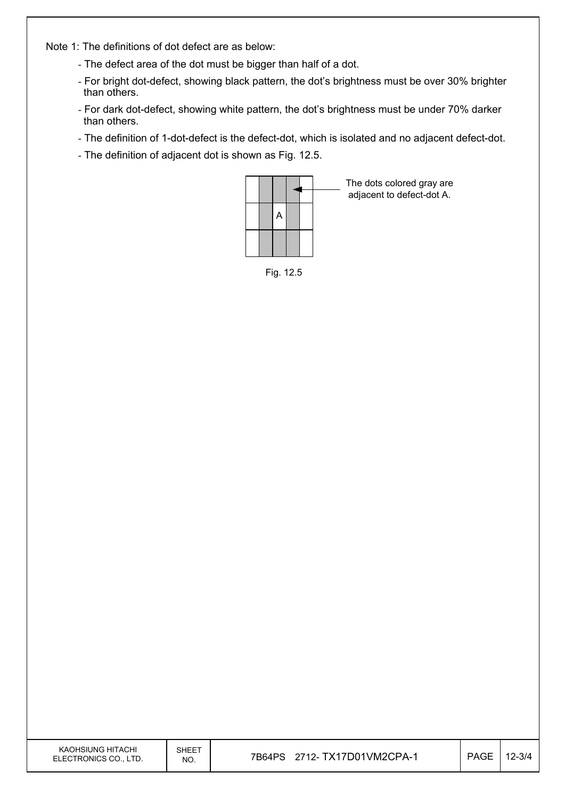Note 1: The definitions of dot defect are as below:

- The defect area of the dot must be bigger than half of a dot.
- For bright dot-defect, showing black pattern, the dot's brightness must be over 30% brighter than others.
- For dark dot-defect, showing white pattern, the dot's brightness must be under 70% darker than others.
- The definition of 1-dot-defect is the defect-dot, which is isolated and no adjacent defect-dot.
- The definition of adjacent dot is shown as Fig. 12.5.



The dots colored gray are adjacent to defect-dot A.

Fig. 12.5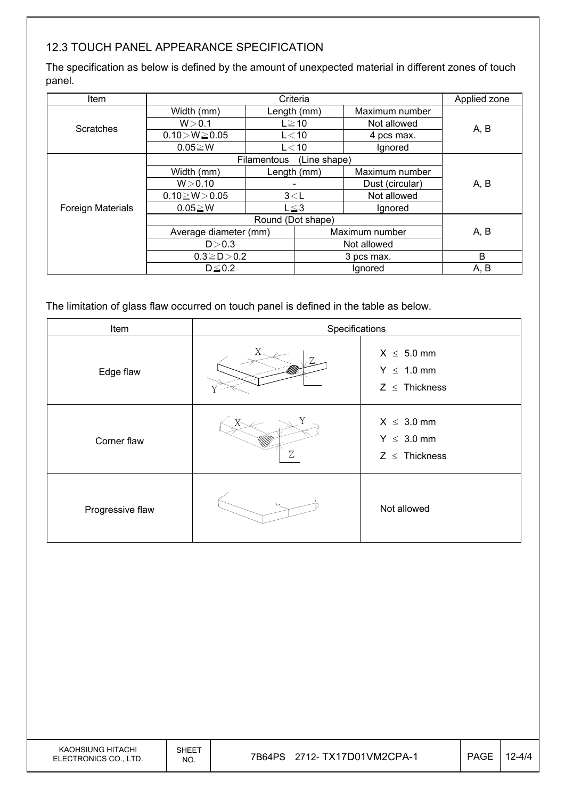## 12.3 TOUCH PANEL APPEARANCE SPECIFICATION

The specification as below is defined by the amount of unexpected material in different zones of touch panel.

| Item                     |                       |                   | Criteria              |                 | Applied zone |  |
|--------------------------|-----------------------|-------------------|-----------------------|-----------------|--------------|--|
|                          | Width (mm)            |                   | Length (mm)           | Maximum number  |              |  |
| <b>Scratches</b>         | W > 0.1               |                   | $L \geq 10$           | Not allowed     | A, B         |  |
|                          | $0.10 > W \ge 0.05$   |                   | $L<$ 10               | 4 pcs max.      |              |  |
|                          | $0.05 \geq W$         |                   | $L<$ 10               | Ignored         |              |  |
|                          |                       | Filamentous       | (Line shape)          |                 |              |  |
|                          | Width (mm)            | Length (mm)       |                       | Maximum number  |              |  |
|                          | W > 0.10              |                   |                       | Dust (circular) | A, B         |  |
|                          | $0.10 \ge W > 0.05$   | 3< L              |                       | Not allowed     |              |  |
| <b>Foreign Materials</b> | $0.05 \geq W$         |                   | $L \leq 3$<br>Ignored |                 |              |  |
|                          |                       | Round (Dot shape) |                       |                 |              |  |
|                          | Average diameter (mm) |                   |                       | Maximum number  | A, B         |  |
|                          | D > 0.3               |                   |                       | Not allowed     |              |  |
|                          | $0.3 \ge D > 0.2$     |                   |                       | 3 pcs max.      | B            |  |
|                          | $D \leq 0.2$          |                   |                       | Ignored         | A, B         |  |

The limitation of glass flaw occurred on touch panel is defined in the table as below.

| Item             | Specifications |                                                          |
|------------------|----------------|----------------------------------------------------------|
| Edge flaw        |                | $X \leq 5.0$ mm<br>$Y \leq 1.0$ mm<br>$Z \leq$ Thickness |
| Corner flaw      | Ζ              | $X \leq 3.0$ mm<br>$Y \leq 3.0$ mm<br>$Z \leq$ Thickness |
| Progressive flaw |                | Not allowed                                              |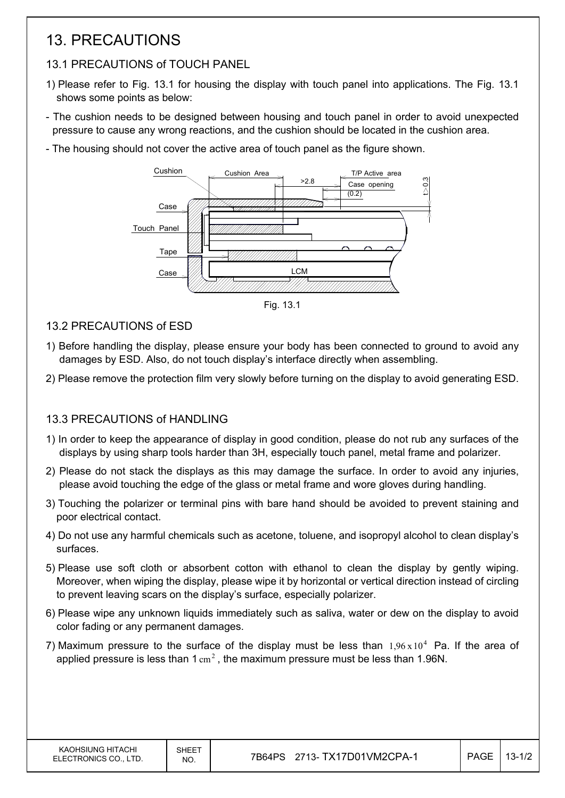# 13. PRECAUTIONS

# 13.1 PRECAUTIONS of TOUCH PANEL

- 1) Please refer to Fig. 13.1 for housing the display with touch panel into applications. The Fig. 13.1 shows some points as below:
- The cushion needs to be designed between housing and touch panel in order to avoid unexpected pressure to cause any wrong reactions, and the cushion should be located in the cushion area.
- The housing should not cover the active area of touch panel as the figure shown.



Fig. 13.1

- 13.2 PRECAUTIONS of ESD
- 1) Before handling the display, please ensure your body has been connected to ground to avoid any damages by ESD. Also, do not touch display's interface directly when assembling.
- 2) Please remove the protection film very slowly before turning on the display to avoid generating ESD.

## 13.3 PRECAUTIONS of HANDLING

- 1) In order to keep the appearance of display in good condition, please do not rub any surfaces of the displays by using sharp tools harder than 3H, especially touch panel, metal frame and polarizer.
- 2) Please do not stack the displays as this may damage the surface. In order to avoid any injuries, please avoid touching the edge of the glass or metal frame and wore gloves during handling.
- 3) Touching the polarizer or terminal pins with bare hand should be avoided to prevent staining and poor electrical contact.
- 4) Do not use any harmful chemicals such as acetone, toluene, and isopropyl alcohol to clean display's surfaces.
- 5) Please use soft cloth or absorbent cotton with ethanol to clean the display by gently wiping. Moreover, when wiping the display, please wipe it by horizontal or vertical direction instead of circling to prevent leaving scars on the display's surface, especially polarizer.
- 6) Please wipe any unknown liquids immediately such as saliva, water or dew on the display to avoid color fading or any permanent damages.
- 7) Maximum pressure to the surface of the display must be less than  $1.96 \times 10^4$  Pa. If the area of applied pressure is less than  $1 \text{ cm}^2$ , the maximum pressure must be less than 1.96N.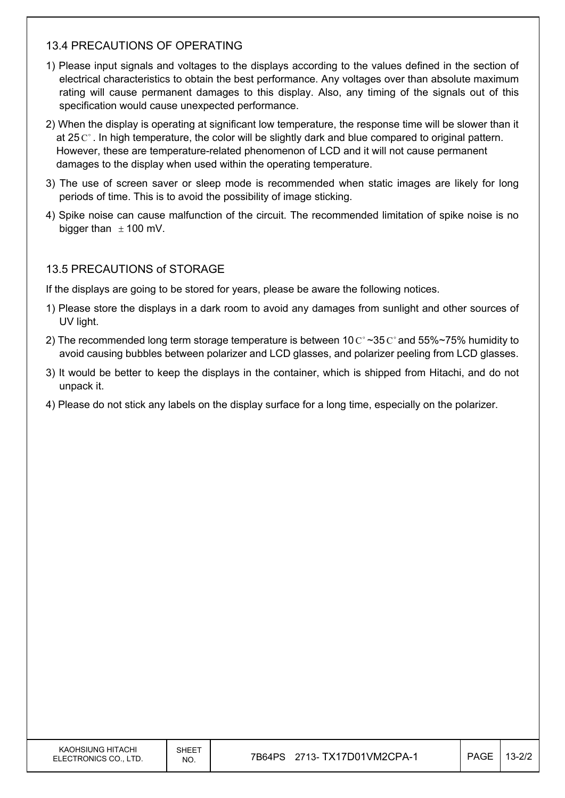#### 13.4 PRECAUTIONS OF OPERATING

- 1) Please input signals and voltages to the displays according to the values defined in the section of electrical characteristics to obtain the best performance. Any voltages over than absolute maximum rating will cause permanent damages to this display. Also, any timing of the signals out of this specification would cause unexpected performance.
- 2) When the display is operating at significant low temperature, the response time will be slower than it at 25  $\mathrm{C}^{\circ}$ . In high temperature, the color will be slightly dark and blue compared to original pattern. However, these are temperature-related phenomenon of LCD and it will not cause permanent damages to the display when used within the operating temperature.
- 3) The use of screen saver or sleep mode is recommended when static images are likely for long periods of time. This is to avoid the possibility of image sticking.
- 4) Spike noise can cause malfunction of the circuit. The recommended limitation of spike noise is no bigger than  $\pm$  100 mV.

#### 13.5 PRECAUTIONS of STORAGE

If the displays are going to be stored for years, please be aware the following notices.

- 1) Please store the displays in a dark room to avoid any damages from sunlight and other sources of UV light.
- 2) The recommended long term storage temperature is between 10  $C^{\circ}$  ~35  $C^{\circ}$  and 55%~75% humidity to avoid causing bubbles between polarizer and LCD glasses, and polarizer peeling from LCD glasses.
- 3) It would be better to keep the displays in the container, which is shipped from Hitachi, and do not unpack it.
- 4) Please do not stick any labels on the display surface for a long time, especially on the polarizer.